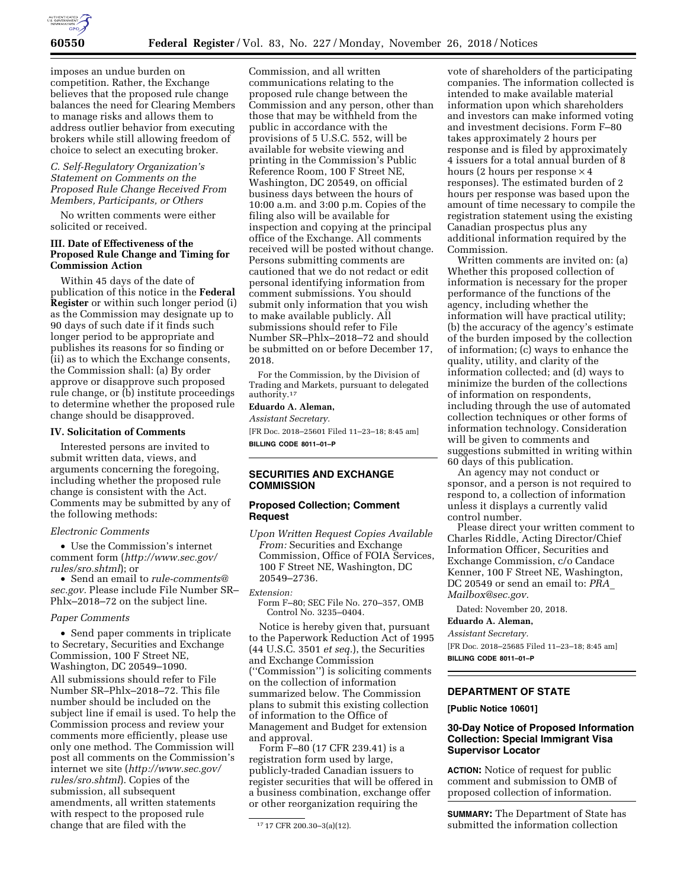

imposes an undue burden on competition. Rather, the Exchange believes that the proposed rule change balances the need for Clearing Members to manage risks and allows them to address outlier behavior from executing brokers while still allowing freedom of choice to select an executing broker.

### *C. Self-Regulatory Organization's Statement on Comments on the Proposed Rule Change Received From Members, Participants, or Others*

No written comments were either solicited or received.

### **III. Date of Effectiveness of the Proposed Rule Change and Timing for Commission Action**

Within 45 days of the date of publication of this notice in the **Federal Register** or within such longer period (i) as the Commission may designate up to 90 days of such date if it finds such longer period to be appropriate and publishes its reasons for so finding or (ii) as to which the Exchange consents, the Commission shall: (a) By order approve or disapprove such proposed rule change, or (b) institute proceedings to determine whether the proposed rule change should be disapproved.

### **IV. Solicitation of Comments**

Interested persons are invited to submit written data, views, and arguments concerning the foregoing, including whether the proposed rule change is consistent with the Act. Comments may be submitted by any of the following methods:

#### *Electronic Comments*

• Use the Commission's internet comment form (*[http://www.sec.gov/](http://www.sec.gov/rules/sro.shtml)  [rules/sro.shtml](http://www.sec.gov/rules/sro.shtml)*); or

• Send an email to *[rule-comments@](mailto:rule-comments@sec.gov) [sec.gov.](mailto:rule-comments@sec.gov)* Please include File Number SR– Phlx–2018–72 on the subject line.

#### *Paper Comments*

• Send paper comments in triplicate to Secretary, Securities and Exchange Commission, 100 F Street NE, Washington, DC 20549–1090. All submissions should refer to File Number SR–Phlx–2018–72. This file number should be included on the subject line if email is used. To help the Commission process and review your comments more efficiently, please use only one method. The Commission will post all comments on the Commission's internet we site (*[http://www.sec.gov/](http://www.sec.gov/rules/sro.shtml) [rules/sro.shtml](http://www.sec.gov/rules/sro.shtml)*). Copies of the submission, all subsequent amendments, all written statements with respect to the proposed rule change that are filed with the

Commission, and all written communications relating to the proposed rule change between the Commission and any person, other than those that may be withheld from the public in accordance with the provisions of 5 U.S.C. 552, will be available for website viewing and printing in the Commission's Public Reference Room, 100 F Street NE, Washington, DC 20549, on official business days between the hours of 10:00 a.m. and 3:00 p.m. Copies of the filing also will be available for inspection and copying at the principal office of the Exchange. All comments received will be posted without change. Persons submitting comments are cautioned that we do not redact or edit personal identifying information from comment submissions. You should submit only information that you wish to make available publicly. All submissions should refer to File Number SR–Phlx–2018–72 and should be submitted on or before December 17, 2018.

For the Commission, by the Division of Trading and Markets, pursuant to delegated authority.17

# **Eduardo A. Aleman,**

*Assistant Secretary.*  [FR Doc. 2018–25601 Filed 11–23–18; 8:45 am]

**BILLING CODE 8011–01–P** 

# **SECURITIES AND EXCHANGE COMMISSION**

### **Proposed Collection; Comment Request**

*Upon Written Request Copies Available From:* Securities and Exchange Commission, Office of FOIA Services, 100 F Street NE, Washington, DC 20549–2736.

*Extension:* 

Form F–80; SEC File No. 270–357, OMB Control No. 3235–0404.

Notice is hereby given that, pursuant to the Paperwork Reduction Act of 1995 (44 U.S.C. 3501 *et seq.*), the Securities and Exchange Commission (''Commission'') is soliciting comments on the collection of information summarized below. The Commission plans to submit this existing collection of information to the Office of Management and Budget for extension and approval.

Form F–80 (17 CFR 239.41) is a registration form used by large, publicly-traded Canadian issuers to register securities that will be offered in a business combination, exchange offer or other reorganization requiring the

vote of shareholders of the participating companies. The information collected is intended to make available material information upon which shareholders and investors can make informed voting and investment decisions. Form F–80 takes approximately 2 hours per response and is filed by approximately 4 issuers for a total annual burden of 8 hours (2 hours per response  $\times$  4 responses). The estimated burden of 2 hours per response was based upon the amount of time necessary to compile the registration statement using the existing Canadian prospectus plus any additional information required by the Commission.

Written comments are invited on: (a) Whether this proposed collection of information is necessary for the proper performance of the functions of the agency, including whether the information will have practical utility; (b) the accuracy of the agency's estimate of the burden imposed by the collection of information; (c) ways to enhance the quality, utility, and clarity of the information collected; and (d) ways to minimize the burden of the collections of information on respondents, including through the use of automated collection techniques or other forms of information technology. Consideration will be given to comments and suggestions submitted in writing within 60 days of this publication.

An agency may not conduct or sponsor, and a person is not required to respond to, a collection of information unless it displays a currently valid control number.

Please direct your written comment to Charles Riddle, Acting Director/Chief Information Officer, Securities and Exchange Commission, c/o Candace Kenner, 100 F Street NE, Washington, DC 20549 or send an email to: *[PRA](mailto:PRA_Mailbox@sec.gov)*\_ *[Mailbox@sec.gov.](mailto:PRA_Mailbox@sec.gov)* 

Dated: November 20, 2018.

### **Eduardo A. Aleman,**

*Assistant Secretary.* 

[FR Doc. 2018–25685 Filed 11–23–18; 8:45 am] **BILLING CODE 8011–01–P** 

# **DEPARTMENT OF STATE**

**[Public Notice 10601]** 

# **30-Day Notice of Proposed Information Collection: Special Immigrant Visa Supervisor Locator**

**ACTION:** Notice of request for public comment and submission to OMB of proposed collection of information.

**SUMMARY:** The Department of State has submitted the information collection

<sup>17</sup> 17 CFR 200.30–3(a)(12).